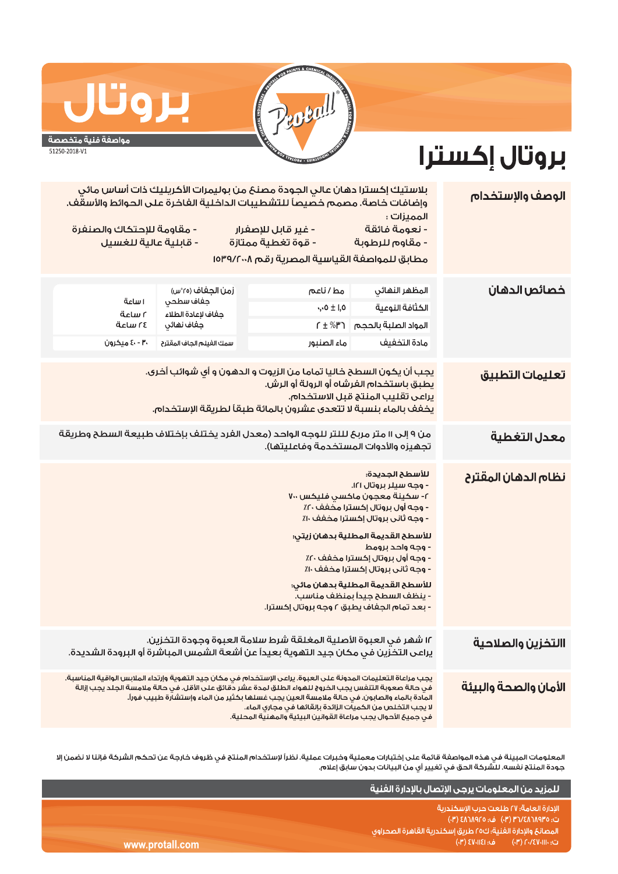

## بروت مواصفة فنية متخصصة

51250-2018-V1

بروتال إكسترا

| الوصف والإستخدام      | المميزات:<br>- نعومة فائقة<br>- مقاوم للرطوبة                                                                                                                                                                                                                                                                                                                                                                                               | بلاستيك إكسترا دهان عالي الجودة مصنع من بوليمرات الأكريليك ذات أساس مائي<br>وإضافات خاصة. مصمم خصيصاً للتشطيبات الداخلية الفاخرة على الحوائط والأسقف.<br>- غير قابل للإصفرار<br>- قوة تغطية ممتازة<br>مطابق للمواصفة القياسية المصرية رقم ١٥٣٩/٢٠٠٨ |                                                                                                | - مقاومة للإحتكاك والصنفرة<br>- قابلية عالية للغسيل |  |  |
|-----------------------|---------------------------------------------------------------------------------------------------------------------------------------------------------------------------------------------------------------------------------------------------------------------------------------------------------------------------------------------------------------------------------------------------------------------------------------------|-----------------------------------------------------------------------------------------------------------------------------------------------------------------------------------------------------------------------------------------------------|------------------------------------------------------------------------------------------------|-----------------------------------------------------|--|--|
| خصائص الدهان          | المظهر النهائي<br>الكثافة النوعية<br>المواد الصلبة بالحجم<br>مادة التخفيف                                                                                                                                                                                                                                                                                                                                                                   | مط/ناعم<br>$\cdot, 0 \pm 1, 0$<br>$f \pm \%$ ۳ገ<br>ماء الصنبور                                                                                                                                                                                      | زمن الجغاف (٢٥°س)<br>جغاف سطحي<br>جفاف لإعادة الطلاء<br>جفاف نهائي<br>سمك الغيلم الجاف المقترح | اساعة<br>آساعة<br>٢٤ ساعة<br>۴۰ - ٤٠ میکرون         |  |  |
| تعليمات التطبيق       | يجب أن يكون السطح خاليا تماما من الزيوت و الدهون و أي شوائب أخرى.<br>يطبق باستخدام الفرشاه أو الرولة أو الرش.<br>يراعى تقليب المنتج قبل الاستخدام.<br>يخفف بالماء بنسبة لا تتعدى عشرون بالمائة طبقاً لطريقة الإستخدام.                                                                                                                                                                                                                      |                                                                                                                                                                                                                                                     |                                                                                                |                                                     |  |  |
| معدل التغطية          | من ٩ إلى ١١ متر مربح لللتر للوجه الواحد (معدل الفرد يختلف بإختلاف طبيعة السطح وطريقة<br>تجهيزه والأدوات المستخدمة وفاعليتها).                                                                                                                                                                                                                                                                                                               |                                                                                                                                                                                                                                                     |                                                                                                |                                                     |  |  |
| نظام الدهان المقترح   | للأسطح الجديدة:<br>- وجه سيلر بروتال ١٢١.<br>٢- سكينة معجون ماكسى فليكس ٧٠٠<br>- وجه أول بروتال إكسترا مخفف ٢٠٪<br>- وجه ثانى بروتال إكسترا مخفف ١٠٪<br>للأسطح القديمة المطلية بدهان زيتى <mark>.</mark><br>- وجه واحد برومط<br>- وجه أول بروتال إكسترا مخفف ٢٠٪<br>- وجه ثاني بروتال إكسترا مخفف ١٠٪<br>للأسطح القديمة المطلية بدهان مائي:<br>- ينظف السطح جيداً بمنظف مناسب.<br>- بعد تمام الجغاف يطبق ٢ وجه بروتال إكسترا <mark>.</mark> |                                                                                                                                                                                                                                                     |                                                                                                |                                                     |  |  |
| االتخزين والصلاحية    | ١٢ شهر في العبوة الأصلية المغلقة شرط سلامة العبوة وجودة التخزين.<br>يراعى التخزين في مكان جيد التهوية بعيداً عن أشعة الشمس المباشرة أو البرودة الشديدة.                                                                                                                                                                                                                                                                                     |                                                                                                                                                                                                                                                     |                                                                                                |                                                     |  |  |
| الأمان والصحة والبيئة | يجب مراعاة التعليمات المدونة على العبوة. يراعى الإستخدام في مكان جيد التهوية وإرتداء الملابس الواقية المناسبة.<br>فى حالة صعوبة التنفس يجب الخروج للهواء الطلق لمدة عشر دقائق على الأقل. فى حالة ملامسة الجلد يجب إزالة<br>المادة بالماء والصابون. في حالة ملامسة العين يجب غسلها بكثير من الماء وإستشارة طبيب فوراً.<br>لا يجب التخلص من الكميات الزائدة بإلقائها في مجاري الماء.                                                          |                                                                                                                                                                                                                                                     |                                                                                                |                                                     |  |  |

المعلومات المبينة فى هذه المواصفة قائمة على إختبارات معملية وخبرات عملية. نظراً لإستخدام المنتج فى ظروف خارجة عن تحكم الشركة فإننا لا نضمن إلا جودة المنتج نفسه. للشركة الحق في تغيير أي من البيانات بدون سابق إعلام.

|                 | ِ للمزيد من المعلومات يرجى الإتصال بالإدارة الفنية ا                                                                                                                                   |
|-----------------|----------------------------------------------------------------------------------------------------------------------------------------------------------------------------------------|
| www.protall.com | الإدارة العامة؛ ٢٧ طلعت حرب الإسكندرية<br>ت: ۴/۸٦٨٩٣٥/٣١ (٣٠) ف: ٤٨٦٨٩٢٥ (٣٠)<br>ً المصانعَ والإدارة الفنية؛ ك٥٥ طريق إسكندرية القاهرة الصحراوى  <br>ت: ۲۰/٤٧٠١١١٠) هـ: ۱3۱۰/۱۴۱) (۳۰) |

في جميعَ الأحوال يجب مراعاة القوانين البيئية والمهنية المحلية.